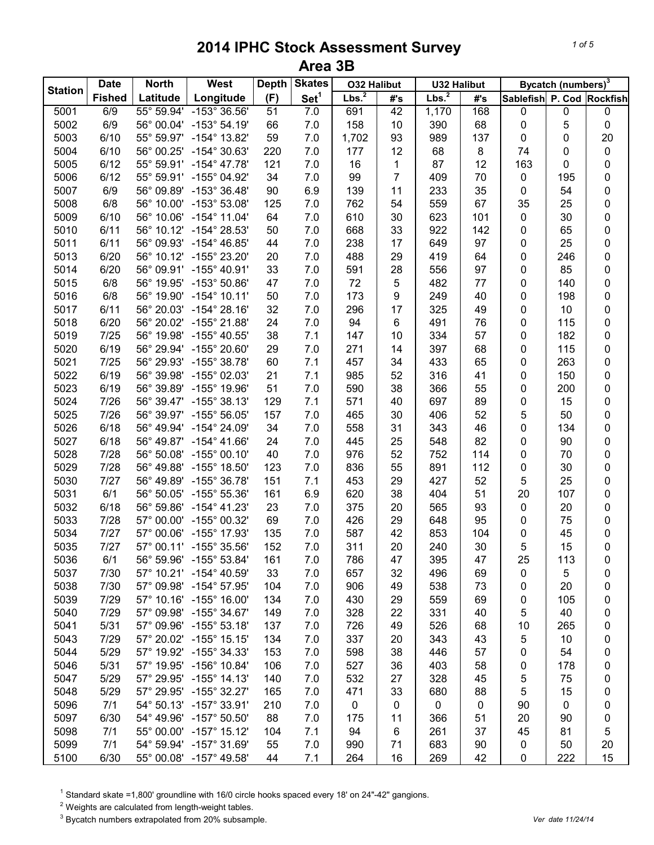| <b>Station</b> | <b>Date</b>   | <b>North</b> | West                    | <b>Depth</b> | <b>Skates</b>    | <b>O32 Halibut</b> |                  | <b>U32 Halibut</b> |         |                           | Bycatch (numbers) <sup>3</sup> |           |
|----------------|---------------|--------------|-------------------------|--------------|------------------|--------------------|------------------|--------------------|---------|---------------------------|--------------------------------|-----------|
|                | <b>Fished</b> | Latitude     | Longitude               | (F)          | Set <sup>1</sup> | Lbs. <sup>2</sup>  | #'s              | Lbs. <sup>2</sup>  | #'s     | Sablefish P. Cod Rockfish |                                |           |
| 5001           | 6/9           | 55° 59.94'   | $-153^{\circ}36.56'$    | 51           | 7.0              | 691                | 42               | 1,170              | 168     | 0                         | $\pmb{0}$                      | $\pmb{0}$ |
| 5002           | 6/9           | 56° 00.04'   | $-153^{\circ}$ 54.19'   | 66           | 7.0              | 158                | 10               | 390                | 68      | $\pmb{0}$                 | 5                              | $\pmb{0}$ |
| 5003           | 6/10          | 55° 59.97'   | $-154^{\circ}$ 13.82'   | 59           | 7.0              | 1,702              | 93               | 989                | 137     | $\pmb{0}$                 | 0                              | 20        |
| 5004           | 6/10          | 56° 00.25'   | -154° 30.63'            | 220          | 7.0              | 177                | 12               | 68                 | $\bf 8$ | 74                        | 0                              | $\pmb{0}$ |
| 5005           | 6/12          | 55° 59.91'   | $-154^{\circ}$ 47.78'   | 121          | 7.0              | 16                 | $\mathbf{1}$     | 87                 | 12      | 163                       | 0                              | 0         |
| 5006           | 6/12          | 55° 59.91'   | -155° 04.92'            | 34           | 7.0              | 99                 | $\overline{7}$   | 409                | 70      | $\pmb{0}$                 | 195                            | 0         |
| 5007           | 6/9           | 56° 09.89'   | $-153^{\circ}$ 36.48'   | 90           | 6.9              | 139                | 11               | 233                | 35      | $\pmb{0}$                 | 54                             | $\pmb{0}$ |
| 5008           | 6/8           | 56° 10.00'   | $-153^{\circ} 53.08'$   | 125          | $7.0$            | 762                | 54               | 559                | 67      | 35                        | 25                             | $\pmb{0}$ |
| 5009           | 6/10          | 56° 10.06'   | $-154^{\circ}$ 11.04'   | 64           | $7.0$            | 610                | 30               | 623                | 101     | $\pmb{0}$                 | 30                             | $\pmb{0}$ |
| 5010           | 6/11          | 56° 10.12'   | $-154^{\circ} 28.53'$   | 50           | $7.0$            | 668                | 33               | 922                | 142     | $\pmb{0}$                 | 65                             | $\pmb{0}$ |
| 5011           | 6/11          | 56° 09.93'   | $-154^{\circ}$ 46.85'   | 44           | 7.0              | 238                | 17               | 649                | 97      | $\pmb{0}$                 | 25                             | $\pmb{0}$ |
| 5013           | 6/20          | 56° 10.12'   | $-155^{\circ}$ 23.20'   | 20           | 7.0              | 488                | 29               | 419                | 64      | $\pmb{0}$                 | 246                            | $\pmb{0}$ |
| 5014           | 6/20          | 56° 09.91'   | $-155^{\circ}$ 40.91'   | 33           | 7.0              | 591                | 28               | 556                | 97      | $\pmb{0}$                 | 85                             | 0         |
| 5015           | 6/8           | 56° 19.95'   | $-153^{\circ}50.86'$    | 47           | 7.0              | 72                 | 5                | 482                | 77      | $\pmb{0}$                 | 140                            | $\pmb{0}$ |
| 5016           | 6/8           | 56° 19.90'   | $-154^{\circ}$ 10.11'   | 50           | 7.0              | 173                | $\boldsymbol{9}$ | 249                | 40      | $\pmb{0}$                 | 198                            | $\pmb{0}$ |
| 5017           | 6/11          | 56° 20.03'   | $-154^{\circ} 28.16'$   | 32           | $7.0$            | 296                | 17               | 325                | 49      | $\pmb{0}$                 | 10                             | 0         |
| 5018           | 6/20          | 56° 20.02'   | -155° 21.88'            | 24           | 7.0              | 94                 | $\,6$            | 491                | 76      | $\pmb{0}$                 | 115                            | $\pmb{0}$ |
| 5019           | 7/25          | 56° 19.98'   | $-155^{\circ}$ 40.55'   | 38           | 7.1              | 147                | 10               | 334                | 57      | $\pmb{0}$                 | 182                            | $\pmb{0}$ |
| 5020           | 6/19          | 56° 29.94'   | -155° 20.60'            | 29           | 7.0              | 271                | 14               | 397                | 68      | $\pmb{0}$                 | 115                            | 0         |
| 5021           | 7/25          | 56° 29.93'   | -155° 38.78'            | 60           | 7.1              | 457                | 34               | 433                | 65      | $\pmb{0}$                 | 263                            | 0         |
| 5022           | 6/19          | 56° 39.98'   | -155° 02.03'            | 21           | 7.1              | 985                | 52               | 316                | 41      | $\pmb{0}$                 | 150                            | $\pmb{0}$ |
| 5023           | 6/19          | 56° 39.89'   | -155° 19.96'            | 51           | 7.0              | 590                | 38               | 366                | 55      | $\pmb{0}$                 | 200                            | $\pmb{0}$ |
| 5024           | 7/26          | 56° 39.47'   | $-155^{\circ}$ 38.13'   | 129          | 7.1              | 571                | 40               | 697                | 89      | $\pmb{0}$                 | 15                             | $\pmb{0}$ |
| 5025           | 7/26          | 56° 39.97'   | $-155^{\circ}56.05'$    | 157          | $7.0$            | 465                | 30               | 406                | 52      | 5                         | 50                             | $\pmb{0}$ |
| 5026           | 6/18          | 56° 49.94'   | $-154^{\circ}$ 24.09'   | 34           | $7.0$            | 558                | 31               | 343                | 46      | $\pmb{0}$                 | 134                            | $\pmb{0}$ |
| 5027           | 6/18          | 56° 49.87'   | $-154^{\circ}$ 41.66'   | 24           | 7.0              | 445                | 25               | 548                | 82      | $\pmb{0}$                 | 90                             | $\pmb{0}$ |
| 5028           | 7/28          | 56° 50.08'   | $-155^{\circ}$ 00.10'   | 40           | 7.0              | 976                | 52               | 752                | 114     | $\pmb{0}$                 | 70                             | $\pmb{0}$ |
| 5029           | 7/28          | 56° 49.88'   | $-155^{\circ}$ 18.50'   | 123          | $7.0$            | 836                | 55               | 891                | 112     | $\pmb{0}$                 | 30                             | $\pmb{0}$ |
| 5030           | 7/27          | 56° 49.89'   | $-155^{\circ}$ 36.78'   | 151          | 7.1              | 453                | 29               | 427                | 52      | 5                         | 25                             | $\pmb{0}$ |
| 5031           | 6/1           | 56° 50.05'   | $-155^{\circ}55.36'$    | 161          | 6.9              | 620                | 38               | 404                | 51      | 20                        | 107                            | $\pmb{0}$ |
| 5032           | 6/18          | 56° 59.86'   | $-154^{\circ}$ 41.23'   | 23           | 7.0              | 375                | 20               | 565                | 93      | $\pmb{0}$                 | 20                             | 0         |
| 5033           | 7/28          | 57° 00.00'   | $-155^{\circ}$ 00.32'   | 69           | 7.0              | 426                | 29               | 648                | 95      | $\pmb{0}$                 | 75                             | $\pmb{0}$ |
| 5034           | 7/27          | 57° 00.06'   | $-155^{\circ}$ 17.93'   | 135          | $7.0$            | 587                | 42               | 853                | 104     | 0                         | 45                             | 0         |
| 5035           | 7/27          |              | 57° 00.11' -155° 35.56' | 152          | 7.0              | 311                | 20               | 240                | 30      | 5                         | 15                             | 0         |
| 5036           | 6/1           | 56° 59.96'   | -155° 53.84'            | 161          | 7.0              | 786                | 47               | 395                | 47      | 25                        | 113                            | 0         |
| 5037           | 7/30          |              | 57° 10.21' -154° 40.59' | 33           | 7.0              | 657                | 32               | 496                | 69      | $\pmb{0}$                 | 5                              |           |
| 5038           | 7/30          | 57° 09.98'   | $-154^{\circ}$ 57.95'   | 104          | 7.0              | 906                | 49               | 538                | 73      |                           | 20                             | 0         |
| 5039           | 7/29          |              | 57° 10.16' -155° 16.00' | 134          | 7.0              | 430                | 29               | 559                | 69      | 0<br>0                    | 105                            | 0         |
| 5040           | 7/29          |              | 57° 09.98' -155° 34.67' | 149          | 7.0              | 328                | 22               | 331                | 40      | 5                         | 40                             | 0         |
| 5041           | 5/31          |              | 57° 09.96' -155° 53.18' | 137          | 7.0              | 726                | 49               | 526                | 68      |                           | 265                            | 0         |
|                |               |              |                         |              |                  |                    |                  |                    |         | 10                        |                                | 0         |
| 5043           | 7/29          |              | 57° 20.02' -155° 15.15' | 134          | 7.0              | 337                | 20               | 343                | 43      | 5                         | 10                             | 0         |
| 5044           | 5/29          |              | 57° 19.92' -155° 34.33' | 153          | 7.0              | 598                | 38               | 446                | 57      | 0                         | 54                             | 0         |
| 5046           | 5/31          | 57° 19.95'   | $-156^\circ$ 10.84'     | 106          | 7.0              | 527                | 36               | 403                | 58      | 0                         | 178                            | 0         |
| 5047           | 5/29          | 57° 29.95'   | $-155^{\circ}$ 14.13'   | 140          | 7.0              | 532                | 27               | 328                | 45      | 5                         | 75                             | 0         |
| 5048           | 5/29          | 57° 29.95'   | $-155^{\circ}$ 32.27'   | 165          | 7.0              | 471                | 33               | 680                | 88      | 5                         | 15                             | 0         |
| 5096           | 7/1           |              | 54° 50.13' -157° 33.91' | 210          | 7.0              | 0                  | 0                | 0                  | 0       | 90                        | 0                              | 0         |
| 5097           | 6/30          | 54° 49.96'   | $-157^{\circ}$ 50.50'   | 88           | 7.0              | 175                | 11               | 366                | 51      | 20                        | 90                             | 0         |
| 5098           | 7/1           |              | 55° 00.00' -157° 15.12' | 104          | 7.1              | 94                 | 6                | 261                | 37      | 45                        | 81                             | 5         |
| 5099           | 7/1           |              | 54° 59.94' -157° 31.69' | 55           | 7.0              | 990                | 71               | 683                | 90      | 0                         | 50                             | 20        |
| 5100           | 6/30          |              | 55° 00.08' -157° 49.58' | 44           | 7.1              | 264                | 16               | 269                | 42      | 0                         | 222                            | 15        |

<sup>1</sup> Standard skate =1,800' groundline with 16/0 circle hooks spaced every 18' on 24"-42" gangions.

Weights are calculated from length-weight tables.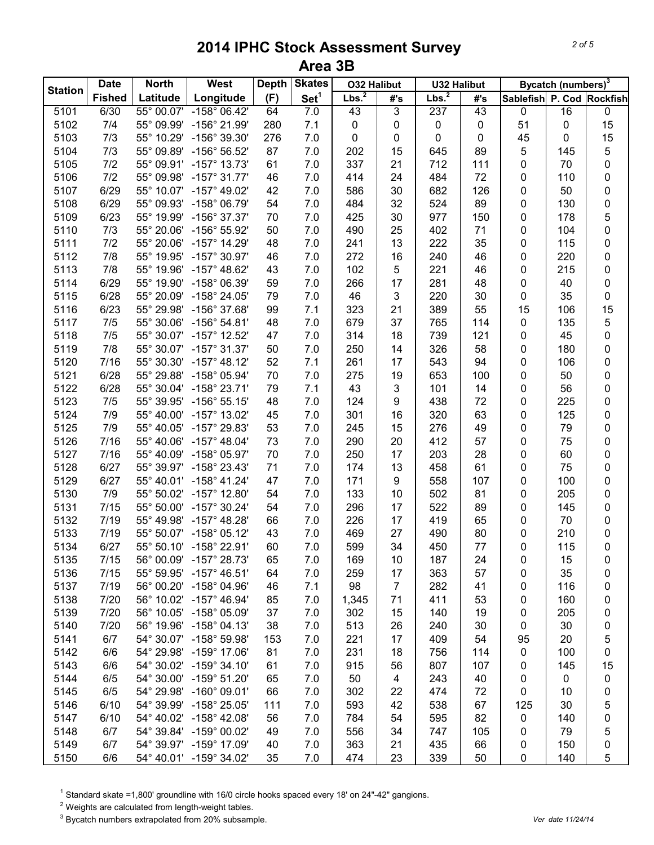| <b>Station</b> | <b>Date</b>   | <b>North</b>        | West                    | <b>Depth</b> | <b>Skates</b>    | <b>O32 Halibut</b> |                | <b>U32 Halibut</b> |     |                           | Bycatch (numbers) <sup>3</sup> |             |
|----------------|---------------|---------------------|-------------------------|--------------|------------------|--------------------|----------------|--------------------|-----|---------------------------|--------------------------------|-------------|
|                | <b>Fished</b> | Latitude            | Longitude               | (F)          | Set <sup>1</sup> | Lbs. <sup>2</sup>  | #'s            | Lbs. <sup>2</sup>  | #'s | Sablefish P. Cod Rockfish |                                |             |
| 5101           | 6/30          | $55^{\circ}$ 00.07' | $-158^{\circ}$ 06.42'   | 64           | 7.0              | 43                 | $\overline{3}$ | 237                | 43  | $\pmb{0}$                 | 16                             | $\pmb{0}$   |
| 5102           | 7/4           | 55° 09.99'          | -156° 21.99'            | 280          | 7.1              | 0                  | 0              | 0                  | 0   | 51                        | $\pmb{0}$                      | 15          |
| 5103           | 7/3           | 55° 10.29'          | -156° 39.30'            | 276          | 7.0              | 0                  | 0              | 0                  | 0   | 45                        | 0                              | 15          |
| 5104           | 7/3           | 55° 09.89'          | -156° 56.52'            | 87           | $7.0$            | 202                | 15             | 645                | 89  | 5                         | 145                            | 5           |
| 5105           | 7/2           | 55° 09.91'          | $-157^{\circ}$ 13.73'   | 61           | 7.0              | 337                | 21             | 712                | 111 | 0                         | 70                             | 0           |
| 5106           | 7/2           | 55° 09.98'          | $-157^{\circ}$ 31.77'   | 46           | 7.0              | 414                | 24             | 484                | 72  | 0                         | 110                            | 0           |
| 5107           | 6/29          | 55° 10.07'          | $-157^{\circ}$ 49.02'   | 42           | 7.0              | 586                | 30             | 682                | 126 | $\pmb{0}$                 | 50                             | 0           |
| 5108           | 6/29          | 55° 09.93'          | $-158^{\circ}$ 06.79'   | 54           | 7.0              | 484                | 32             | 524                | 89  | $\pmb{0}$                 | 130                            | $\pmb{0}$   |
| 5109           | 6/23          | 55° 19.99'          | -156° 37.37'            | 70           | 7.0              | 425                | 30             | 977                | 150 | $\pmb{0}$                 | 178                            | 5           |
| 5110           | 7/3           | 55° 20.06'          | -156° 55.92'            | 50           | 7.0              | 490                | 25             | 402                | 71  | 0                         | 104                            | 0           |
| 5111           | 7/2           | 55° 20.06'          | $-157^{\circ}$ 14.29'   | 48           | 7.0              | 241                | 13             | 222                | 35  | 0                         | 115                            | 0           |
| 5112           | 7/8           | 55° 19.95'          | $-157^{\circ}$ 30.97'   | 46           | 7.0              | 272                | 16             | 240                | 46  | 0                         | 220                            | 0           |
| 5113           | 7/8           | 55° 19.96'          | $-157^{\circ}$ 48.62'   | 43           | 7.0              | 102                | 5              | 221                | 46  | 0                         | 215                            | 0           |
| 5114           | 6/29          | 55° 19.90'          | $-158^{\circ}$ 06.39'   | 59           | 7.0              | 266                | 17             | 281                | 48  | 0                         | 40                             | 0           |
| 5115           | 6/28          | 55° 20.09'          | -158° 24.05'            | 79           | 7.0              | 46                 | 3              | 220                | 30  | 0                         | 35                             | 0           |
| 5116           | 6/23          | 55° 29.98'          | -156° 37.68'            | 99           | 7.1              | 323                | 21             | 389                | 55  | 15                        | 106                            | 15          |
| 5117           | 7/5           | 55° 30.06'          | $-156^{\circ} 54.81'$   | 48           | 7.0              | 679                | 37             | 765                | 114 | 0                         | 135                            | 5           |
| 5118           | 7/5           | 55° 30.07'          | $-157^{\circ}$ 12.52'   | 47           | 7.0              | 314                | 18             | 739                | 121 | 0                         | 45                             | 0           |
| 5119           | 7/8           | 55° 30.07'          | $-157^{\circ}$ 31.37'   | 50           | 7.0              | 250                | 14             | 326                | 58  | 0                         | 180                            | 0           |
| 5120           | 7/16          | 55° 30.30'          | $-157^{\circ}$ 48.12'   | 52           | 7.1              | 261                | 17             | 543                | 94  | 0                         | 106                            | 0           |
| 5121           | 6/28          | 55° 29.88'          | -158° 05.94'            | 70           | $7.0$            | 275                | 19             | 653                | 100 | 0                         | 50                             | 0           |
| 5122           | 6/28          | 55° 30.04'          | $-158^{\circ}$ 23.71'   | 79           | 7.1              | 43                 | 3              | 101                | 14  | $\pmb{0}$                 | 56                             | 0           |
| 5123           | 7/5           | 55° 39.95'          | $-156^{\circ} 55.15'$   | 48           | 7.0              | 124                | 9              | 438                | 72  | $\pmb{0}$                 | 225                            | $\pmb{0}$   |
| 5124           | 7/9           | 55° 40.00'          | $-157^{\circ}$ 13.02'   | 45           | 7.0              | 301                | 16             | 320                | 63  | $\pmb{0}$                 | 125                            | $\pmb{0}$   |
| 5125           | 7/9           | 55° 40.05'          | -157° 29.83'            | 53           | $7.0$            | 245                | 15             | 276                | 49  | $\pmb{0}$                 | 79                             | $\pmb{0}$   |
| 5126           | 7/16          | 55° 40.06'          | $-157^{\circ}$ 48.04'   | 73           | 7.0              | 290                | 20             | 412                | 57  | 0                         | 75                             | 0           |
| 5127           | 7/16          | 55° 40.09'          | $-158^{\circ}$ 05.97'   | 70           | 7.0              | 250                | 17             | 203                | 28  | 0                         | 60                             | 0           |
| 5128           | 6/27          | 55° 39.97'          | -158° 23.43'            | 71           | 7.0              | 174                | 13             | 458                | 61  | 0                         | 75                             | 0           |
| 5129           | 6/27          | 55° 40.01'          | $-158^{\circ}$ 41.24'   | 47           | 7.0              | 171                | 9              | 558                | 107 | 0                         | 100                            | 0           |
| 5130           | 7/9           | 55° 50.02'          | $-157^{\circ}$ 12.80'   | 54           | 7.0              | 133                | 10             | 502                | 81  | 0                         | 205                            | 0           |
| 5131           | 7/15          | 55° 50.00'          | $-157^{\circ}$ 30.24'   | 54           | 7.0              | 296                | 17             | 522                | 89  | 0                         | 145                            | 0           |
| 5132           | 7/19          | 55° 49.98'          | $-157^{\circ}$ 48.28'   | 66           | 7.0              | 226                | 17             | 419                | 65  | 0                         | 70                             | 0           |
| 5133           | 7/19          |                     | 55° 50.07' -158° 05.12' | 43           | 7.0              | 469                | 27             | 490                | 80  | 0                         | 210                            | 0           |
| 5134           | 6/27          |                     | 55° 50.10' -158° 22.91' | 60           | 7.0              | 599                | 34             | 450                | 77  | 0                         | 115                            | 0           |
| 5135           | 7/15          | 56° 00.09'          | $-157^{\circ}$ 28.73'   | 65           | 7.0              | 169                | 10             | 187                | 24  | 0                         | 15                             | 0           |
| 5136           | 7/15          |                     | 55° 59.95' -157° 46.51' | 64           | 7.0              | 259                | 17             | 363                | 57  | 0                         | 35                             | 0           |
| 5137           | 7/19          |                     | 56° 00.20' -158° 04.96' | 46           | 7.1              | 98                 | $\overline{7}$ | 282                | 41  | 0                         | 116                            | 0           |
| 5138           | 7/20          |                     | 56° 10.02' -157° 46.94' | 85           | 7.0              | 1,345              | 71             | 411                | 53  | 0                         | 160                            | 0           |
| 5139           | 7/20          |                     | 56° 10.05' -158° 05.09' | 37           | 7.0              | 302                | 15             | 140                | 19  | 0                         | 205                            | 0           |
| 5140           | 7/20          |                     | 56° 19.96' -158° 04.13' | 38           | 7.0              | 513                | 26             | 240                | 30  | $\pmb{0}$                 | 30                             | 0           |
| 5141           | 6/7           |                     | 54° 30.07' -158° 59.98' | 153          | 7.0              | 221                | 17             | 409                | 54  | 95                        | 20                             | 5           |
| 5142           | 6/6           |                     | 54° 29.98' -159° 17.06' | 81           | 7.0              | 231                | 18             | 756                | 114 | $\pmb{0}$                 | 100                            | 0           |
| 5143           | 6/6           |                     | 54° 30.02' -159° 34.10' | 61           | 7.0              | 915                | 56             | 807                | 107 |                           | 145                            | 15          |
|                |               | 54° 30.00'          | $-159^{\circ}$ 51.20'   |              |                  |                    |                |                    |     | 0                         |                                |             |
| 5144           | 6/5           |                     |                         | 65           | 7.0              | 50                 | 4              | 243                | 40  | 0                         | 0                              | 0           |
| 5145           | 6/5           | 54° 29.98'          | $-160^{\circ}$ 09.01'   | 66           | 7.0              | 302                | 22             | 474                | 72  | 0                         | 10                             | $\mathbf 0$ |
| 5146           | 6/10          | 54° 39.99'          | $-158^{\circ}$ 25.05'   | 111          | 7.0              | 593                | 42             | 538                | 67  | 125                       | 30                             | 5           |
| 5147           | 6/10          |                     | 54° 40.02' -158° 42.08' | 56           | 7.0              | 784                | 54             | 595                | 82  | 0                         | 140                            | 0           |
| 5148           | 6/7           |                     | 54° 39.84' -159° 00.02' | 49           | 7.0              | 556                | 34             | 747                | 105 | 0                         | 79                             | 5           |
| 5149           | 6/7           |                     | 54° 39.97' -159° 17.09' | 40           | 7.0              | 363                | 21             | 435                | 66  | 0                         | 150                            | 0           |
| 5150           | 6/6           |                     | 54° 40.01' -159° 34.02' | 35           | 7.0              | 474                | 23             | 339                | 50  | $\pmb{0}$                 | 140                            | 5           |

<sup>1</sup> Standard skate =1,800' groundline with 16/0 circle hooks spaced every 18' on 24"-42" gangions.

Weights are calculated from length-weight tables.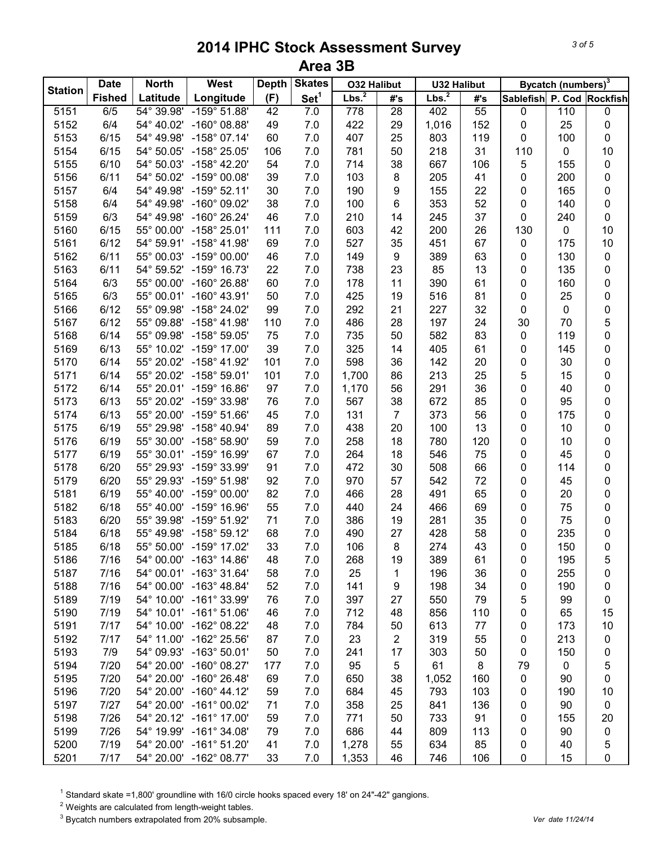| <b>Station</b> | <b>Date</b>   | <b>North</b> | West                    | <b>Depth</b> | <b>Skates</b>    | <b>O32 Halibut</b> |                | <b>U32 Halibut</b> |     |                           | Bycatch (numbers) <sup>3</sup> |           |
|----------------|---------------|--------------|-------------------------|--------------|------------------|--------------------|----------------|--------------------|-----|---------------------------|--------------------------------|-----------|
|                | <b>Fished</b> | Latitude     | Longitude               | (F)          | Set <sup>1</sup> | Lbs. <sup>2</sup>  | #'s            | Lbs. <sup>2</sup>  | #'s | Sablefish P. Cod Rockfish |                                |           |
| 5151           | 6/5           | 54° 39.98'   | $-159^{\circ} 51.88'$   | 42           | 7.0              | 778                | 28             | 402                | 55  | 0                         | 110                            | 0         |
| 5152           | 6/4           | 54° 40.02'   | $-160^{\circ}$ 08.88'   | 49           | 7.0              | 422                | 29             | 1,016              | 152 | $\pmb{0}$                 | 25                             | 0         |
| 5153           | 6/15          | 54° 49.98'   | $-158^{\circ}$ 07.14'   | 60           | 7.0              | 407                | 25             | 803                | 119 | 0                         | 100                            | 0         |
| 5154           | 6/15          | 54° 50.05'   | -158° 25.05'            | 106          | 7.0              | 781                | 50             | 218                | 31  | 110                       | $\mathbf 0$                    | 10        |
| 5155           | 6/10          | 54° 50.03'   | $-158^{\circ}$ 42.20'   | 54           | $7.0$            | 714                | 38             | 667                | 106 | 5                         | 155                            | 0         |
| 5156           | 6/11          | 54° 50.02'   | $-159^{\circ}$ 00.08'   | 39           | 7.0              | 103                | 8              | 205                | 41  | $\pmb{0}$                 | 200                            | 0         |
| 5157           | 6/4           | 54° 49.98'   | $-159^{\circ}$ 52.11'   | 30           | $7.0$            | 190                | 9              | 155                | 22  | $\pmb{0}$                 | 165                            | 0         |
| 5158           | 6/4           | 54° 49.98'   | $-160^{\circ}$ 09.02'   | 38           | 7.0              | 100                | 6              | 353                | 52  | $\pmb{0}$                 | 140                            | $\pmb{0}$ |
| 5159           | 6/3           | 54° 49.98'   | $-160^{\circ}$ 26.24'   | 46           | 7.0              | 210                | 14             | 245                | 37  | $\pmb{0}$                 | 240                            | $\pmb{0}$ |
| 5160           | 6/15          | 55° 00.00'   | $-158^{\circ} 25.01'$   | 111          | 7.0              | 603                | 42             | 200                | 26  | 130                       | $\pmb{0}$                      | 10        |
| 5161           | 6/12          | 54° 59.91'   | $-158^{\circ}$ 41.98'   | 69           | 7.0              | 527                | 35             | 451                | 67  | $\pmb{0}$                 | 175                            | 10        |
| 5162           | 6/11          | 55° 00.03'   | $-159^{\circ}$ 00.00'   | 46           | 7.0              | 149                | 9              | 389                | 63  | $\pmb{0}$                 | 130                            | 0         |
| 5163           | 6/11          | 54° 59.52'   | $-159^{\circ}$ 16.73'   | 22           | 7.0              | 738                | 23             | 85                 | 13  | $\pmb{0}$                 | 135                            | 0         |
| 5164           | 6/3           | 55° 00.00'   | $-160^{\circ}$ 26.88'   | 60           | 7.0              | 178                | 11             | 390                | 61  | 0                         | 160                            | 0         |
| 5165           | 6/3           | 55° 00.01'   | $-160^{\circ}$ 43.91'   | 50           | 7.0              | 425                | 19             | 516                | 81  | 0                         | 25                             | 0         |
| 5166           | 6/12          | 55° 09.98'   | $-158^{\circ}$ 24.02'   | 99           | 7.0              | 292                | 21             | 227                | 32  | $\pmb{0}$                 | $\pmb{0}$                      | 0         |
| 5167           | 6/12          | 55° 09.88'   | $-158^{\circ}$ 41.98'   | 110          | 7.0              | 486                | 28             | 197                | 24  | 30                        | 70                             | 5         |
| 5168           | 6/14          | 55° 09.98'   | $-158^{\circ}59.05'$    | 75           | $7.0$            | 735                | 50             | 582                | 83  | $\pmb{0}$                 | 119                            | 0         |
| 5169           | 6/13          | 55° 10.02'   | $-159^{\circ}$ 17.00'   | 39           | $7.0$            | 325                | 14             | 405                | 61  | 0                         | 145                            | 0         |
| 5170           | 6/14          | 55° 20.02'   | $-158^{\circ}$ 41.92'   | 101          | 7.0              | 598                | 36             | 142                | 20  | 0                         | 30                             | 0         |
| 5171           | 6/14          | 55° 20.02'   | $-158^{\circ} 59.01'$   | 101          | 7.0              | 1,700              | 86             | 213                | 25  | 5                         | 15                             | 0         |
| 5172           | 6/14          | 55° 20.01'   | $-159^{\circ}$ 16.86'   | 97           | $7.0\,$          | 1,170              | 56             | 291                | 36  | 0                         | 40                             | 0         |
| 5173           | 6/13          | 55° 20.02'   | $-159^{\circ}$ 33.98'   | 76           | $7.0\,$          | 567                | 38             | 672                | 85  | $\pmb{0}$                 | 95                             | 0         |
| 5174           | 6/13          | 55° 20.00'   | $-159^{\circ}$ 51.66'   | 45           | $7.0$            | 131                | $\overline{7}$ | 373                | 56  | $\pmb{0}$                 | 175                            | 0         |
| 5175           | 6/19          | 55° 29.98'   | $-158^{\circ}$ 40.94'   | 89           | 7.0              | 438                | 20             | 100                | 13  | $\pmb{0}$                 | 10                             | 0         |
| 5176           | 6/19          | 55° 30.00'   | -158° 58.90'            | 59           | 7.0              | 258                | 18             | 780                | 120 | $\pmb{0}$                 | 10                             | 0         |
| 5177           | 6/19          | 55° 30.01'   | -159° 16.99'            | 67           | 7.0              | 264                | 18             | 546                | 75  | $\pmb{0}$                 | 45                             | 0         |
| 5178           | 6/20          | 55° 29.93'   | -159° 33.99'            | 91           | 7.0              | 472                | 30             | 508                | 66  | $\pmb{0}$                 | 114                            | 0         |
| 5179           | 6/20          | 55° 29.93'   | $-159^{\circ}$ 51.98'   | 92           | 7.0              | 970                | 57             | 542                | 72  | $\pmb{0}$                 | 45                             | 0         |
| 5181           | 6/19          | 55° 40.00'   | $-159^{\circ}$ 00.00'   | 82           | 7.0              | 466                | 28             | 491                | 65  | 0                         | 20                             | 0         |
| 5182           | 6/18          | 55° 40.00'   | $-159^{\circ}$ 16.96'   | 55           | 7.0              | 440                | 24             | 466                | 69  | 0                         | 75                             | 0         |
| 5183           | 6/20          | 55° 39.98'   | $-159^{\circ}$ 51.92'   | 71           | $7.0$            | 386                | 19             | 281                | 35  | 0                         | 75                             | 0         |
| 5184           | 6/18          | 55° 49.98'   | $-158^{\circ}59.12'$    | 68           | 7.0              | 490                | 27             | 428                | 58  | 0                         | 235                            | 0         |
| 5185           | 6/18          |              | 55° 50.00' -159° 17.02' | 33           | 7.0              | 106                | 8              | 274                | 43  | 0                         | 150                            | 0         |
| 5186           | 7/16          | 54° 00.00'   | $-163^\circ$ 14.86'     | 48           | 7.0              | 268                | 19             | 389                | 61  | 0                         | 195                            | 5         |
| 5187           | 7/16          | 54° 00.01'   | $-163^{\circ}$ 31.64'   | 58           | 7.0              | 25                 | 1              | 196                | 36  | 0                         | 255                            | 0         |
| 5188           | 7/16          | 54° 00.00'   | $-163^{\circ}$ 48.84'   | 52           | 7.0              | 141                | 9              | 198                | 34  | 0                         | 190                            | 0         |
| 5189           | 7/19          |              | 54° 10.00' -161° 33.99' | 76           | 7.0              | 397                | 27             | 550                | 79  | 5                         | 99                             | 0         |
| 5190           | 7/19          |              | 54° 10.01' -161° 51.06' | 46           | 7.0              | 712                | 48             | 856                | 110 | 0                         | 65                             | 15        |
| 5191           | 7/17          |              | 54° 10.00' -162° 08.22' | 48           | 7.0              | 784                | 50             | 613                | 77  | 0                         | 173                            | 10        |
| 5192           | 7/17          | 54° 11.00'   | $-162^{\circ}$ 25.56'   | 87           | 7.0              | 23                 | $\overline{2}$ | 319                | 55  | $\pmb{0}$                 | 213                            | 0         |
| 5193           | 7/9           | 54° 09.93'   | $-163^{\circ} 50.01'$   | 50           | 7.0              | 241                | 17             | 303                | 50  | $\pmb{0}$                 | 150                            | 0         |
| 5194           | 7/20          | 54° 20.00'   | $-160^{\circ}$ 08.27'   | 177          | 7.0              | 95                 | 5              | 61                 | 8   | 79                        | 0                              | 5         |
| 5195           | 7/20          | 54° 20.00'   | $-160^{\circ}$ 26.48'   | 69           | 7.0              | 650                | 38             | 1,052              | 160 | 0                         | 90                             | 0         |
| 5196           | 7/20          | 54° 20.00'   | $-160^{\circ}$ 44.12'   | 59           | 7.0              | 684                | 45             | 793                | 103 | 0                         | 190                            | 10        |
| 5197           | 7/27          |              | 54° 20.00' -161° 00.02' | 71           | 7.0              | 358                | 25             | 841                | 136 | 0                         | 90                             | 0         |
| 5198           | 7/26          |              | 54° 20.12' -161° 17.00' | 59           | 7.0              | 771                | 50             | 733                | 91  | 0                         | 155                            | 20        |
| 5199           | 7/26          |              | 54° 19.99' -161° 34.08' | 79           | 7.0              | 686                | 44             | 809                | 113 | 0                         | 90                             | 0         |
| 5200           | 7/19          |              | 54° 20.00' -161° 51.20' | 41           | 7.0              | 1,278              | 55             | 634                | 85  | 0                         | 40                             | 5         |
| 5201           | 7/17          |              | 54° 20.00' -162° 08.77' | 33           | $7.0$            | 1,353              | 46             | 746                | 106 | $\pmb{0}$                 | 15                             | 0         |

<sup>1</sup> Standard skate =1,800' groundline with 16/0 circle hooks spaced every 18' on 24"-42" gangions.

Weights are calculated from length-weight tables.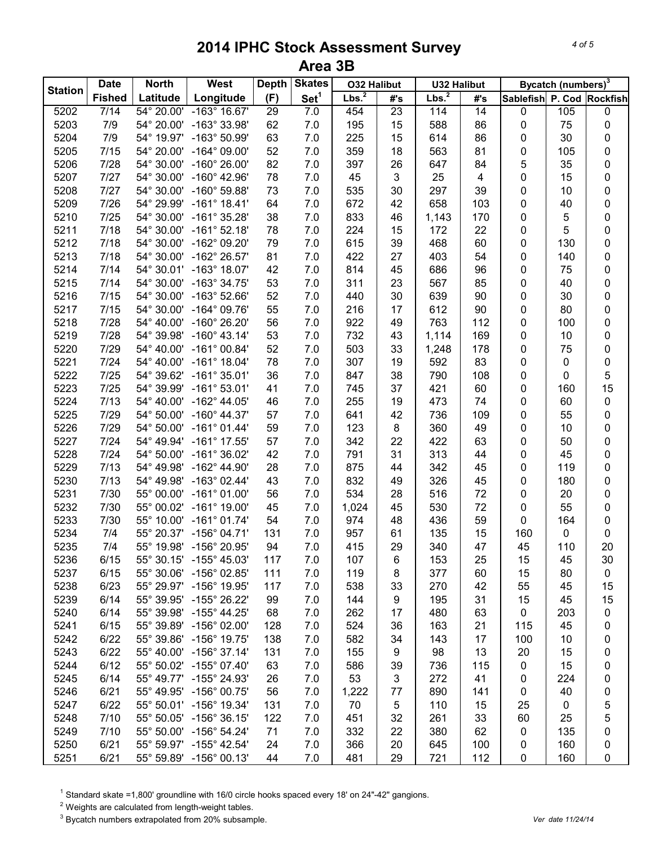| <b>Station</b> | <b>Date</b>   | <b>North</b>                         | West                                               | <b>Depth</b> | <b>Skates</b>    | <b>O32 Halibut</b> |                 | <b>U32 Halibut</b> |                 |           | Bycatch (numbers) <sup>3</sup> |                           |
|----------------|---------------|--------------------------------------|----------------------------------------------------|--------------|------------------|--------------------|-----------------|--------------------|-----------------|-----------|--------------------------------|---------------------------|
|                | <b>Fished</b> | Latitude                             | Longitude                                          | (F)          | Set <sup>1</sup> | Lbs. <sup>2</sup>  | #'s             | Lbs. <sup>2</sup>  | #'s             |           |                                | Sablefish P. Cod Rockfish |
| 5202           | 7/14          | $\frac{1}{54^{\circ} 20.00^{\circ}}$ | $-163^\circ 16.67'$                                | 29           | 7.0              | 454                | $\overline{23}$ | 114                | $\overline{14}$ | 0         | 105                            | $\overline{0}$            |
| 5203           | 7/9           | 54° 20.00'                           | -163° 33.98'                                       | 62           | 7.0              | 195                | 15              | 588                | 86              | 0         | 75                             | 0                         |
| 5204           | 7/9           | 54° 19.97'                           | -163° 50.99'                                       | 63           | $7.0$            | 225                | 15              | 614                | 86              | 0         | 30                             | 0                         |
| 5205           | 7/15          | 54° 20.00'                           | $-164^{\circ}$ 09.00'                              | 52           | $7.0$            | 359                | 18              | 563                | 81              | 0         | 105                            | 0                         |
| 5206           | 7/28          | 54° 30.00'                           | $-160^{\circ}$ 26.00'                              | 82           | $7.0$            | 397                | 26              | 647                | 84              | 5         | 35                             | $\pmb{0}$                 |
| 5207           | 7/27          | 54° 30.00'                           | $-160^{\circ}$ 42.96'                              | 78           | $7.0$            | 45                 | 3               | 25                 | 4               | 0         | 15                             | $\pmb{0}$                 |
| 5208           | 7/27          | 54° 30.00'                           | $-160^{\circ}$ 59.88'                              | 73           | $7.0$            | 535                | 30              | 297                | 39              | 0         | 10                             | $\pmb{0}$                 |
| 5209           | 7/26          | 54° 29.99'                           | $-161^{\circ}$ 18.41'                              | 64           | $7.0$            | 672                | 42              | 658                | 103             | $\pmb{0}$ | 40                             | $\pmb{0}$                 |
| 5210           | 7/25          | 54° 30.00'                           | $-161^{\circ}$ 35.28'                              | 38           | $7.0$            | 833                | 46              | 1,143              | 170             | $\pmb{0}$ | 5                              | $\pmb{0}$                 |
| 5211           | 7/18          | 54° 30.00'                           | $-161^{\circ}$ 52.18'                              | 78           | 7.0              | 224                | 15              | 172                | 22              | 0         | 5                              | $\pmb{0}$                 |
| 5212           | 7/18          | 54° 30.00'                           | -162° 09.20'                                       | 79           | 7.0              | 615                | 39              | 468                | 60              | 0         | 130                            | $\pmb{0}$                 |
| 5213           | 7/18          | 54° 30.00'                           | -162° 26.57'                                       | 81           | 7.0              | 422                | 27              | 403                | 54              | 0         | 140                            | $\pmb{0}$                 |
| 5214           | 7/14          | 54° 30.01'                           | $-163^{\circ}$ 18.07'                              | 42           | 7.0              | 814                | 45              | 686                | 96              | 0         | 75                             | $\pmb{0}$                 |
| 5215           | 7/14          | 54° 30.00'                           | $-163^{\circ}$ 34.75'                              | 53           | 7.0              | 311                | 23              | 567                | 85              | 0         | 40                             | $\pmb{0}$                 |
| 5216           | 7/15          | 54° 30.00'                           | $-163^{\circ}$ 52.66'                              | 52           | 7.0              | 440                | 30              | 639                | 90              | 0         | 30                             | $\pmb{0}$                 |
| 5217           | 7/15          | 54° 30.00'                           | $-164^{\circ}$ 09.76'                              | 55           | 7.0              | 216                | 17              | 612                | 90              | 0         | 80                             | $\pmb{0}$                 |
| 5218           | 7/28          | 54° 40.00'                           | $-160^{\circ} 26.20'$                              | 56           | $7.0$            | 922                | 49              | 763                | 112             | 0         | 100                            | $\pmb{0}$                 |
| 5219           | 7/28          | 54° 39.98'                           | $-160^{\circ}$ 43.14'                              | 53           | $7.0$            | 732                | 43              | 1,114              | 169             | 0         | 10                             | 0                         |
| 5220           | 7/29          | 54° 40.00'                           | $-161^{\circ}$ 00.84'                              | 52           | $7.0$            | 503                | 33              | 1,248              | 178             | 0         | 75                             | 0                         |
| 5221           | 7/24          | 54° 40.00'                           | $-161^{\circ}$ 18.04'                              | 78           | $7.0$            | 307                | 19              | 592                | 83              | 0         | 0                              | $\pmb{0}$                 |
| 5222           | 7/25          | 54° 39.62'                           | $-161^{\circ}$ 35.01'                              | 36           | 7.0              | 847                | 38              | 790                | 108             | 0         | 0                              | 5                         |
| 5223           | 7/25          | 54° 39.99'                           | $-161^{\circ}$ 53.01'                              | 41           | $7.0\,$          | 745                | 37              | 421                | 60              | 0         | 160                            | 15                        |
| 5224           | 7/13          | 54° 40.00'                           | $-162^{\circ}$ 44.05'                              | 46           | $7.0\,$          | 255                | 19              | 473                | 74              | 0         | 60                             | $\pmb{0}$                 |
| 5225           | 7/29          | 54° 50.00'                           | $-160^{\circ}$ 44.37'                              | 57           | $7.0\,$          | 641                | 42              | 736                | 109             | $\pmb{0}$ | 55                             | $\pmb{0}$                 |
| 5226           | 7/29          | 54° 50.00'                           | $-161^{\circ}$ 01.44'                              | 59           | $7.0\,$          | 123                | $\bf 8$         | 360                | 49              | $\pmb{0}$ | 10                             | $\pmb{0}$                 |
| 5227           | $7/24$        | 54° 49.94'                           | $-161^{\circ}$ 17.55'                              | 57           | $7.0$            | 342                | 22              | 422                | 63              | 0         | 50                             | $\pmb{0}$                 |
| 5228           | $7/24$        | 54° 50.00'                           | $-161^{\circ}36.02'$                               | 42           | 7.0              | 791                | 31              | 313                | 44              | 0         | 45                             | $\pmb{0}$                 |
| 5229           | 7/13          | 54° 49.98'                           | $-162^{\circ}$ 44.90'                              | 28           | 7.0              | 875                | 44              | 342                | 45              | 0         | 119                            | $\pmb{0}$                 |
| 5230           | 7/13          | 54° 49.98'                           | $-163^{\circ}$ 02.44'                              | 43           | 7.0              | 832                | 49              | 326                | 45              | 0         | 180                            | $\pmb{0}$                 |
| 5231           | 7/30          |                                      | $-161^{\circ}$ 01.00'                              | 56           |                  | 534                |                 | 516                | 72              | 0         |                                |                           |
|                |               | 55° 00.00'                           |                                                    |              | 7.0              |                    | 28              |                    |                 |           | 20                             | $\pmb{0}$                 |
| 5232           | 7/30          |                                      | 55° 00.02' -161° 19.00'                            | 45           | 7.0              | 1,024              | 45              | 530                | 72              | 0<br>0    | 55                             | $\pmb{0}$                 |
| 5233           | 7/30          | 55° 10.00'                           | $-161^{\circ}$ 01.74'                              | 54           | 7.0              | 974                | 48              | 436                | 59              |           | 164                            | $\pmb{0}$                 |
| 5234           | 7/4           |                                      | 55° 20.37' -156° 04.71'<br>55° 19.98' -156° 20.95' | 131          | 7.0              | 957                | 61              | 135                | 15              | 160       | 0                              | $\pmb{0}$                 |
| 5235           | 7/4           |                                      |                                                    | 94           | $7.0$            | 415                | 29              | 340                | 47              | 45        | 110                            | 20                        |
| 5236           | 6/15          | 55° 30.15'                           | $-155^{\circ}$ 45.03'                              | 117          | 7.0              | 107                | 6               | 153                | 25              | 15        | 45                             | 30                        |
| 5237           | 6/15          | 55° 30.06'                           | $-156^{\circ}$ 02.85'                              | 111          | 7.0              | 119                | 8               | 377                | 60              | 15        | 80                             | $\pmb{0}$                 |
| 5238           | 6/23          |                                      | 55° 29.97' -156° 19.95'                            | 117          | 7.0              | 538                | 33              | 270                | 42              | 55        | 45                             | 15                        |
| 5239           | 6/14          |                                      | 55° 39.95' -155° 26.22'                            | 99           | 7.0              | 144                | 9               | 195                | 31              | 15        | 45                             | 15                        |
| 5240           | 6/14          |                                      | 55° 39.98' -155° 44.25'                            | 68           | 7.0              | 262                | 17              | 480                | 63              | $\pmb{0}$ | 203                            | $\pmb{0}$                 |
| 5241           | 6/15          |                                      | 55° 39.89' -156° 02.00'                            | 128          | 7.0              | 524                | 36              | 163                | 21              | 115       | 45                             | 0                         |
| 5242           | 6/22          |                                      | 55° 39.86' -156° 19.75'                            | 138          | 7.0              | 582                | 34              | 143                | 17              | 100       | 10                             | 0                         |
| 5243           | 6/22          | 55° 40.00'                           | $-156^{\circ}$ 37.14'                              | 131          | 7.0              | 155                | 9               | 98                 | 13              | 20        | 15                             | 0                         |
| 5244           | 6/12          |                                      | 55° 50.02' -155° 07.40'                            | 63           | 7.0              | 586                | 39              | 736                | 115             | 0         | 15                             | 0                         |
| 5245           | 6/14          | 55° 49.77'                           | $-155^{\circ}$ 24.93'                              | 26           | 7.0              | 53                 | 3               | 272                | 41              | 0         | 224                            | 0                         |
| 5246           | 6/21          | 55° 49.95'                           | $-156^{\circ}$ 00.75'                              | 56           | 7.0              | 1,222              | 77              | 890                | 141             | 0         | 40                             | 0                         |
| 5247           | 6/22          |                                      | 55° 50.01' -156° 19.34'                            | 131          | 7.0              | 70                 | 5               | 110                | 15              | 25        | 0                              | 5                         |
| 5248           | 7/10          |                                      | 55° 50.05' -156° 36.15'                            | 122          | 7.0              | 451                | 32              | 261                | 33              | 60        | 25                             | 5                         |
| 5249           | 7/10          |                                      | 55° 50.00' -156° 54.24'                            | 71           | 7.0              | 332                | 22              | 380                | 62              | 0         | 135                            | 0                         |
| 5250           | 6/21          |                                      | 55° 59.97' -155° 42.54'                            | 24           | 7.0              | 366                | 20              | 645                | 100             | 0         | 160                            | 0                         |
| 5251           | 6/21          |                                      | 55° 59.89' -156° 00.13'                            | 44           | 7.0              | 481                | 29              | 721                | 112             | 0         | 160                            | 0                         |

<sup>1</sup> Standard skate =1,800' groundline with 16/0 circle hooks spaced every 18' on 24"-42" gangions.

Weights are calculated from length-weight tables.